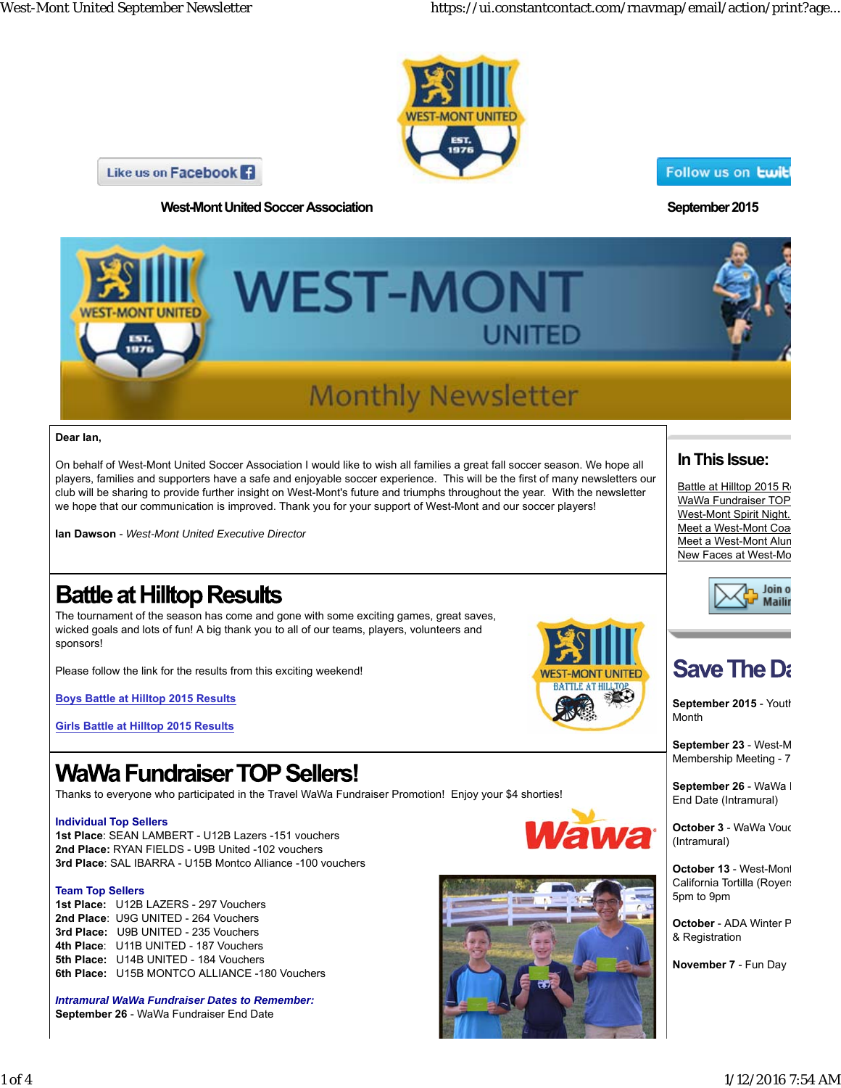

Like us on Facebook

West-Mont United Soccer Association **September 2015** 





#### **Dear Ian,**

On behalf of West-Mont United Soccer Association I would like to wish all families a great fall soccer season. We hope all players, families and supporters have a safe and enjoyable soccer experience. This will be the first of many newsletters our club will be sharing to provide further insight on West-Mont's future and triumphs throughout the year. With the newsletter we hope that our communication is improved. Thank you for your support of West-Mont and our soccer players!

**Ian Dawson** - *West-Mont United Executive Director*

### **Battle at Hilltop Results**

The tournament of the season has come and gone with some exciting games, great saves, wicked goals and lots of fun! A big thank you to all of our teams, players, volunteers and sponsors!

Please follow the link for the results from this exciting weekend!

**Boys Battle at Hilltop 2015 Results**

**Girls Battle at Hilltop 2015 Results**

### **WaWa Fundraiser TOP Sellers!**

Thanks to everyone who participated in the Travel WaWa Fundraiser Promotion! Enjoy your \$4 shorties!

#### **Individual Top Sellers**

**1st Place**: SEAN LAMBERT - U12B Lazers -151 vouchers **2nd Place:** RYAN FIELDS - U9B United -102 vouchers **3rd Place**: SAL IBARRA - U15B Montco Alliance -100 vouchers

#### **Team Top Sellers**

**1st Place:** U12B LAZERS - 297 Vouchers **2nd Place**: U9G UNITED - 264 Vouchers **3rd Place:** U9B UNITED - 235 Vouchers **4th Place**: U11B UNITED - 187 Vouchers **5th Place:** U14B UNITED - 184 Vouchers **6th Place:** U15B MONTCO ALLIANCE -180 Vouchers

*Intramural WaWa Fundraiser Dates to Remember:* **September 26** - WaWa Fundraiser End Date



Wawa



Battle at Hilltop 2015 R WaWa Fundraiser TOP West-Mont Spirit Night. Meet a West-Mont Coa Meet a West-Mont Alum New Faces at West-Mo



### **Save The Da**

**September 2015** - Youth Month

**September 23** - West-M Membership Meeting - 7

September 26 - WaWa I End Date (Intramural)

**October 3** - WaWa Vouc (Intramural)

**October 13** - West-Mont California Tortilla (Royers 5pm to 9pm

**October** - ADA Winter P & Registration

**November 7** - Fun Day

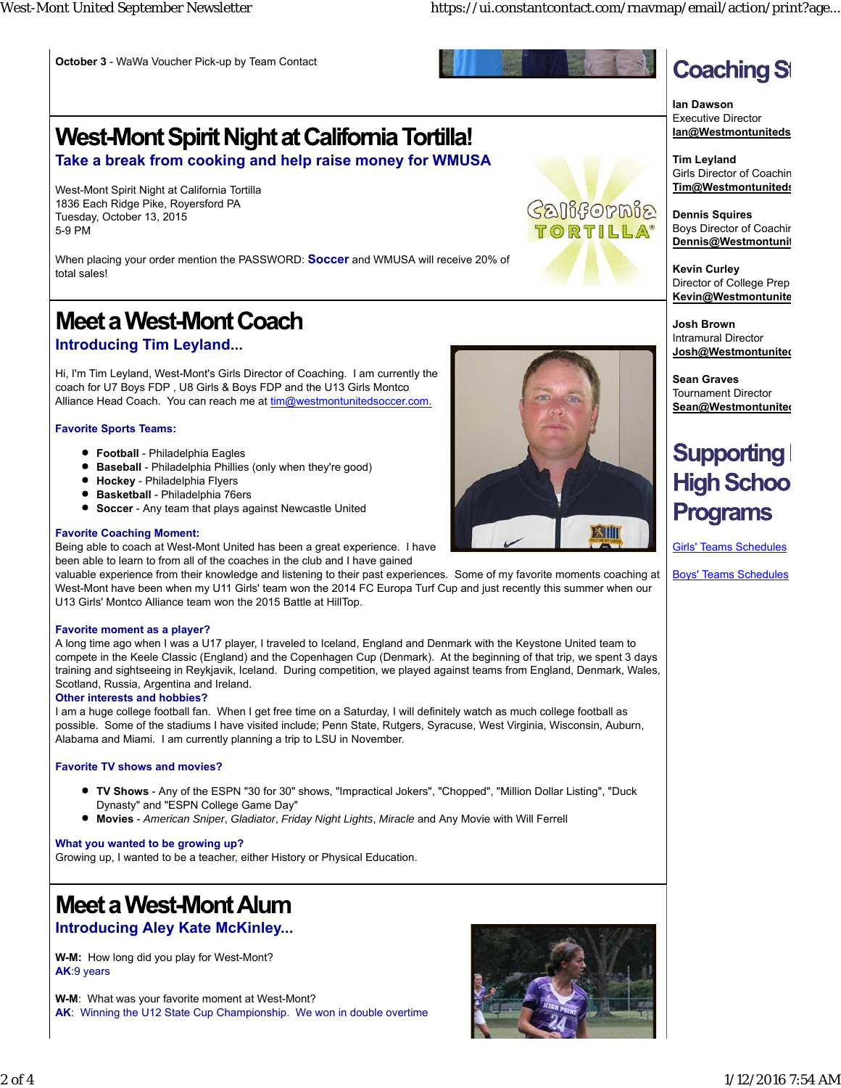**October 3** - WaWa Voucher Pick-up by Team Contact

# **Coaching St**

**Ian Dawson** Executive Director **Ian@Westmontuniteds**

**Tim Leyland** Girls Director of Coachin **Tim@Westmontuniteds**

**Dennis Squires Boys Director of Coachir Dennis@Westmontunit**

**Kevin Curley** Director of College Prep **Kevin@Westmontunite**

**Josh Brown** Intramural Director **Josh@Westmontunited**

**Sean Graves** Tournament Director **Sean@Westmontunited**

# **Supporting High Schoo Programs**

Girls' Teams Schedules

Boys' Teams Schedules

When placing your order mention the PASSWORD: **Soccer** and WMUSA will receive 20% of total sales!

**Take a break from cooking and help raise money for WMUSA**

**West-Mont Spirit Night at California Tortilla!** 

# **Meet a West-Mont Coach**

### **Introducing Tim Leyland...**

West-Mont Spirit Night at California Tortilla 1836 Each Ridge Pike, Royersford PA

Tuesday, October 13, 2015

5-9 PM

Hi, I'm Tim Leyland, West-Mont's Girls Director of Coaching. I am currently the coach for U7 Boys FDP , U8 Girls & Boys FDP and the U13 Girls Montco Alliance Head Coach. You can reach me at tim@westmontunitedsoccer.com.

#### **Favorite Sports Teams:**

- **Football** Philadelphia Eagles
- **Baseball** Philadelphia Phillies (only when they're good)
- **Hockey** Philadelphia Flyers
- **Basketball** Philadelphia 76ers
- **Soccer** Any team that plays against Newcastle United

#### **Favorite Coaching Moment:**

Being able to coach at West-Mont United has been a great experience. I have been able to learn to from all of the coaches in the club and I have gained

valuable experience from their knowledge and listening to their past experiences. Some of my favorite moments coaching at West-Mont have been when my U11 Girls' team won the 2014 FC Europa Turf Cup and just recently this summer when our U13 Girls' Montco Alliance team won the 2015 Battle at HillTop.

#### **Favorite moment as a player?**

A long time ago when I was a U17 player, I traveled to Iceland, England and Denmark with the Keystone United team to compete in the Keele Classic (England) and the Copenhagen Cup (Denmark). At the beginning of that trip, we spent 3 days training and sightseeing in Reykjavik, Iceland. During competition, we played against teams from England, Denmark, Wales, Scotland, Russia, Argentina and Ireland.

#### **Other interests and hobbies?**

I am a huge college football fan. When I get free time on a Saturday, I will definitely watch as much college football as possible. Some of the stadiums I have visited include; Penn State, Rutgers, Syracuse, West Virginia, Wisconsin, Auburn, Alabama and Miami. I am currently planning a trip to LSU in November.

#### **Favorite TV shows and movies?**

- **TV Shows** Any of the ESPN "30 for 30" shows, "Impractical Jokers", "Chopped", "Million Dollar Listing", "Duck Dynasty" and "ESPN College Game Day"
- **Movies** *American Sniper*, *Gladiator*, *Friday Night Lights*, *Miracle* and Any Movie with Will Ferrell

#### **What you wanted to be growing up?**

Growing up, I wanted to be a teacher, either History or Physical Education.

# **Meet a West-Mont Alum**

#### **Introducing Aley Kate McKinley...**

**W-M:** How long did you play for West-Mont? **AK**:9 years

**W-M**: What was your favorite moment at West-Mont? AK: Winning the U12 State Cup Championship. We won in double overtime





<u>Ganiformia</u> ORTILLA<sup>®</sup>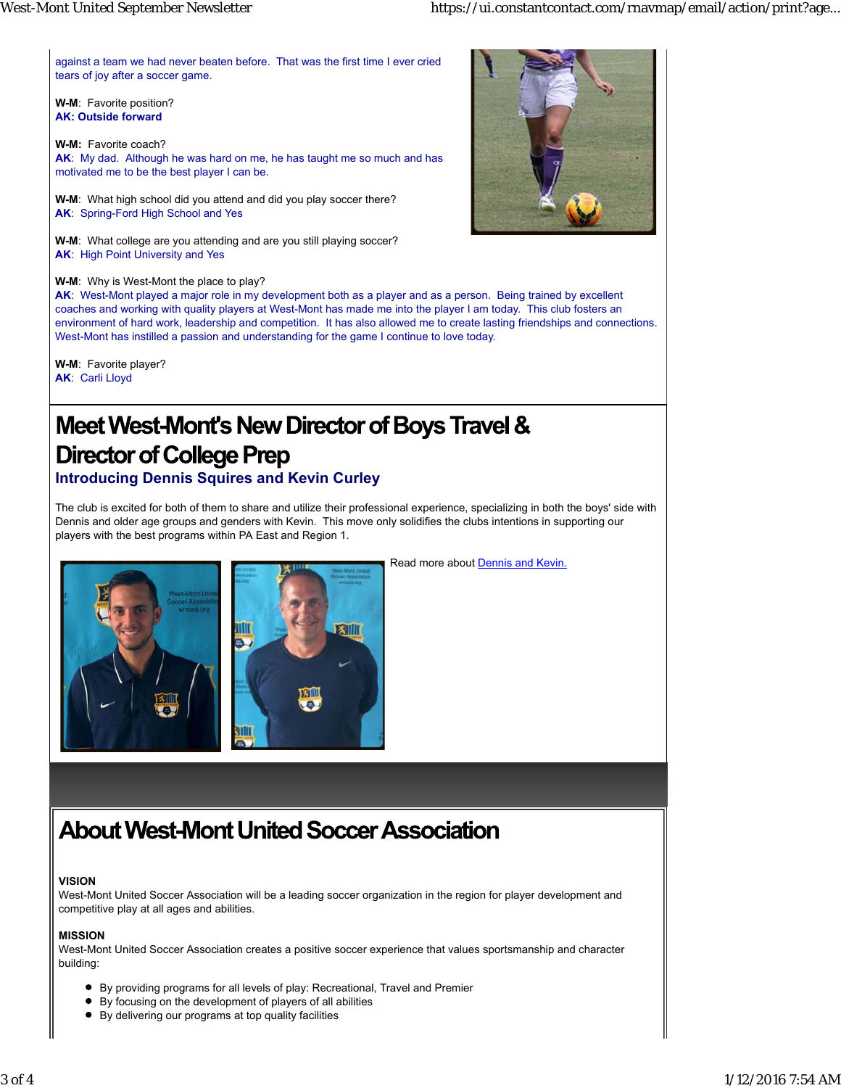against a team we had never beaten before. That was the first time I ever cried tears of joy after a soccer game.

**W-M**: Favorite position? **AK: Outside forward**

**W-M:** Favorite coach? **AK**: My dad. Although he was hard on me, he has taught me so much and has motivated me to be the best player I can be.

**W-M**: What high school did you attend and did you play soccer there? **AK**: Spring-Ford High School and Yes

**W-M**: What college are you attending and are you still playing soccer? **AK**: High Point University and Yes

**W-M**: Why is West-Mont the place to play?

**AK**: West-Mont played a major role in my development both as a player and as a person. Being trained by excellent coaches and working with quality players at West-Mont has made me into the player I am today. This club fosters an environment of hard work, leadership and competition. It has also allowed me to create lasting friendships and connections. West-Mont has instilled a passion and understanding for the game I continue to love today.

**W-M**: Favorite player? **AK**: Carli Lloyd

# **Meet West-Mont's New Director of Boys Travel & Director of College Prep**

### **Introducing Dennis Squires and Kevin Curley**

The club is excited for both of them to share and utilize their professional experience, specializing in both the boys' side with Dennis and older age groups and genders with Kevin. This move only solidifies the clubs intentions in supporting our players with the best programs within PA East and Region 1.



Read more about Dennis and Kevin.

# **About West-Mont United Soccer Association**

#### **VISION**

West-Mont United Soccer Association will be a leading soccer organization in the region for player development and competitive play at all ages and abilities.

#### **MISSION**

West-Mont United Soccer Association creates a positive soccer experience that values sportsmanship and character building:

- By providing programs for all levels of play: Recreational, Travel and Premier
- By focusing on the development of players of all abilities
- By delivering our programs at top quality facilities